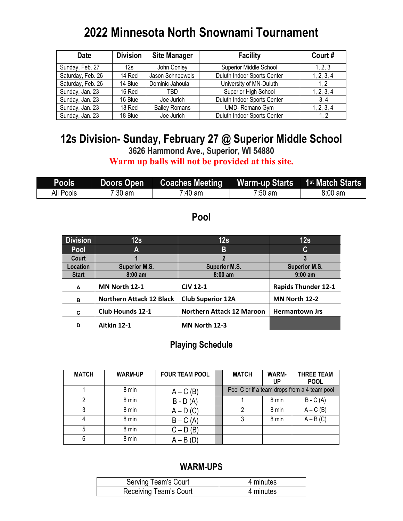## **2022 Minnesota North Snownami Tournament**

| <b>Date</b>       | <b>Division</b> | <b>Site Manager</b>  | <b>Facility</b>             | Court#     |
|-------------------|-----------------|----------------------|-----------------------------|------------|
| Sunday, Feb. 27   | 12s             | John Conley          | Superior Middle School      | 1, 2, 3    |
| Saturday, Feb. 26 | 14 Red          | Jason Schneeweis     | Duluth Indoor Sports Center | 1, 2, 3, 4 |
| Saturday, Feb. 26 | 14 Blue         | Dominic Jahoula      | University of MN-Duluth     | 1.2        |
| Sunday, Jan. 23   | 16 Red          | TBD                  | Superior High School        | 1, 2, 3, 4 |
| Sunday, Jan. 23   | 16 Blue         | Joe Jurich           | Duluth Indoor Sports Center | 3.4        |
| Sunday, Jan. 23   | 18 Red          | <b>Bailey Romans</b> | UMD-Romano Gym              | 1, 2, 3, 4 |
| Sunday, Jan. 23   | 18 Blue         | Joe Jurich           | Duluth Indoor Sports Center | 1.2        |

# **12s Division- Sunday, February 27 @ Superior Middle School**

**3626 Hammond Ave., Superior, WI 54880 Warm up balls will not be provided at this site.**

| <b>Pools</b> | Doors Open        | <b>Coaches Meeting</b> | Warm-up Starts 1 <sup>st</sup> Match Starts |                   |
|--------------|-------------------|------------------------|---------------------------------------------|-------------------|
| All Pools    | $7:30 \text{ am}$ | 7:40 am                | 7:50 am                                     | $8:00 \text{ am}$ |

### **Pool**

| <b>Division</b> | 12s                             | 12s                              | 12s                        |
|-----------------|---------------------------------|----------------------------------|----------------------------|
| <b>Pool</b>     | A                               | В                                | C                          |
| Court           |                                 | 2                                |                            |
| Location        | <b>Superior M.S.</b>            | <b>Superior M.S.</b>             | <b>Superior M.S.</b>       |
| <b>Start</b>    | $8:00$ am                       | $8:00$ am                        | $9:00$ am                  |
| A               | MN North 12-1                   | <b>CJV 12-1</b>                  | <b>Rapids Thunder 12-1</b> |
| в               | <b>Northern Attack 12 Black</b> | <b>Club Superior 12A</b>         | MN North 12-2              |
| C               | <b>Club Hounds 12-1</b>         | <b>Northern Attack 12 Maroon</b> | <b>Hermantown Jrs</b>      |
| D               | Aitkin 12-1                     | MN North 12-3                    |                            |

#### **Playing Schedule**

| <b>MATCH</b> | <b>WARM-UP</b> | <b>FOUR TEAM POOL</b> | <b>MATCH</b> | WARM-<br>UP | <b>THREE TEAM</b><br><b>POOL</b>             |
|--------------|----------------|-----------------------|--------------|-------------|----------------------------------------------|
|              | 8 min          | $A - C(B)$            |              |             | Pool C or if a team drops from a 4 team pool |
|              | 8 min          | $B - D(A)$            |              | 8 min       | $B - C(A)$                                   |
|              | 8 min          | $A - D(C)$            | 2            | 8 min       | $A - C(B)$                                   |
| 4            | 8 min          | $B - C(A)$            |              | 8 min       | $A - B(C)$                                   |
| 5            | 8 min          | $C - D(B)$            |              |             |                                              |
| 6            | 8 min          | $A - B(D)$            |              |             |                                              |

| Serving Team's Court   | 4 minutes |
|------------------------|-----------|
| Receiving Team's Court | 4 minutes |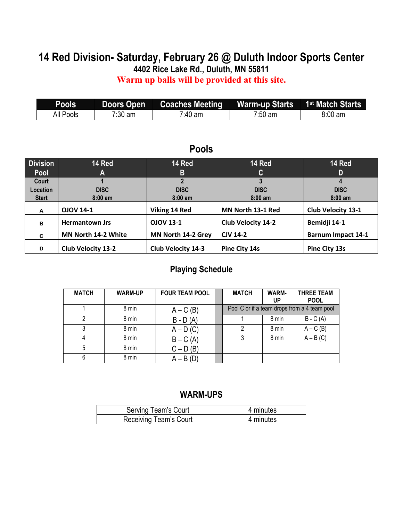# **14 Red Division- Saturday, February 26 @ Duluth Indoor Sports Center**

**4402 Rice Lake Rd., Duluth, MN 55811**

**Warm up balls will be provided at this site.**

| <b>Pools</b> | <b>Doors Open</b> | Coaches Meeting   Warm-up Starts   1 <sup>st</sup> Match Starts |                   |           |
|--------------|-------------------|-----------------------------------------------------------------|-------------------|-----------|
| All Pools    | $7:30 \text{ am}$ | 7:40 am                                                         | $7:50 \text{ am}$ | $8:00$ am |

## **Pools**

| <b>Division</b> | 14 Red                     | 14 Red                    | 14 Red                    | 14 Red                    |
|-----------------|----------------------------|---------------------------|---------------------------|---------------------------|
| Pool            | A                          | B                         | $\mathbf{C}$              | D                         |
| Court           |                            |                           |                           |                           |
| Location        | <b>DISC</b>                | <b>DISC</b>               | <b>DISC</b>               | <b>DISC</b>               |
| <b>Start</b>    | $8:00$ am                  | $8:00$ am                 | $8:00$ am                 | $8:00$ am                 |
| A               | <b>OJOV 14-1</b>           | Viking 14 Red             | MN North 13-1 Red         | <b>Club Velocity 13-1</b> |
| в               | <b>Hermantown Jrs</b>      | <b>OJOV 13-1</b>          | <b>Club Velocity 14-2</b> | Bemidji 14-1              |
| C               | <b>MN North 14-2 White</b> | MN North 14-2 Grey        | <b>CJV 14-2</b>           | <b>Barnum Impact 14-1</b> |
| D               | <b>Club Velocity 13-2</b>  | <b>Club Velocity 14-3</b> | Pine City 14s             | Pine City 13s             |

#### **Playing Schedule**

| <b>MATCH</b> | <b>WARM-UP</b> | <b>FOUR TEAM POOL</b> | <b>MATCH</b> | <b>WARM-</b><br>UP | <b>THREE TEAM</b><br><b>POOL</b>             |
|--------------|----------------|-----------------------|--------------|--------------------|----------------------------------------------|
|              | 8 min          | $A - C(B)$            |              |                    | Pool C or if a team drops from a 4 team pool |
| າ            | 8 min          | $B - D(A)$            |              | 8 min              | $B - C(A)$                                   |
| 3            | 8 min          | $A - D(C)$            | າ            | 8 min              | $A - C(B)$                                   |
|              | 8 min          | $B - C(A)$            |              | 8 min              | $A - B(C)$                                   |
| 5            | 8 min          | $C - D(B)$            |              |                    |                                              |
|              | 8 min          | $A - B(D)$            |              |                    |                                              |

| Serving Team's Court   | 4 minutes |
|------------------------|-----------|
| Receiving Team's Court | 4 minutes |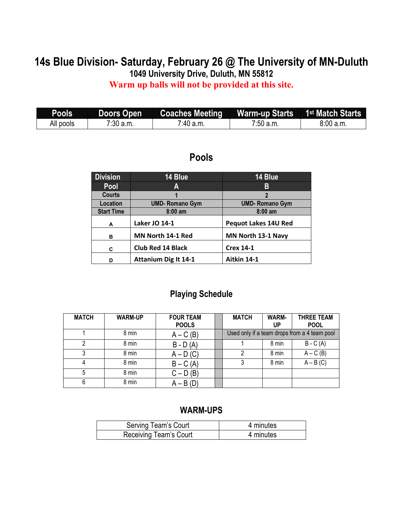# **14s Blue Division- Saturday, February 26 @ The University of MN-Duluth**

**1049 University Drive, Duluth, MN 55812**

**Warm up balls will not be provided at this site.**

| <b>Pools</b> |             | Doors Open Coaches Meeting Warm-up Starts 1 <sup>st</sup> Match Starts |             |           |
|--------------|-------------|------------------------------------------------------------------------|-------------|-----------|
| All pools    | $7:30$ a.m. | $7:40$ a.m.                                                            | $7:50$ a.m. | 8:00 a.m. |

## **Pools**

| <b>Division</b>   | 14 Blue                     | 14 Blue                     |
|-------------------|-----------------------------|-----------------------------|
| <b>Pool</b>       | Α                           | В                           |
| <b>Courts</b>     |                             | $\overline{2}$              |
| Location          | <b>UMD-Romano Gym</b>       | <b>UMD-Romano Gym</b>       |
| <b>Start Time</b> | $8:00$ am                   | $8:00$ am                   |
| A                 | <b>Laker JO 14-1</b>        | <b>Pequot Lakes 14U Red</b> |
| в                 | MN North 14-1 Red           | MN North 13-1 Navy          |
| C                 | <b>Club Red 14 Black</b>    | <b>Crex 14-1</b>            |
| D                 | <b>Attanium Dig It 14-1</b> | Aitkin 14-1                 |

#### **Playing Schedule**

| <b>MATCH</b> | <b>WARM-UP</b> | <b>FOUR TEAM</b><br><b>POOLS</b> | <b>MATCH</b> | <b>WARM-</b><br>UP | <b>THREE TEAM</b><br><b>POOL</b>             |
|--------------|----------------|----------------------------------|--------------|--------------------|----------------------------------------------|
|              | 8 min          | $A - C(B)$                       |              |                    | Used only if a team drops from a 4 team pool |
| າ            | 8 min          | $B - D(A)$                       |              | 8 min              | $B - C(A)$                                   |
|              | 8 min          | $A - D(C)$                       |              | 8 min              | $A - C(B)$                                   |
| 4            | 8 min          | $B - C(A)$                       |              | 8 min              | $A - B(C)$                                   |
| 5            | 8 min          | $C - D(B)$                       |              |                    |                                              |
| 6            | 8 min          | $A - B(D)$                       |              |                    |                                              |

| <b>Serving Team's Court</b> | 4 minutes |
|-----------------------------|-----------|
| Receiving Team's Court      | 4 minutes |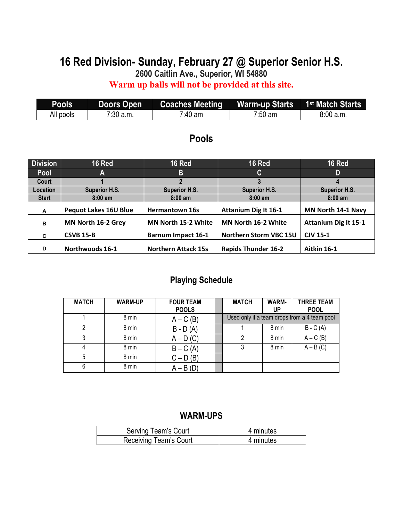## **16 Red Division- Sunday, February 27 @ Superior Senior H.S.**

**2600 Caitlin Ave., Superior, WI 54880**

**Warm up balls will not be provided at this site.**

| Pools     | Doors Open  | <b>Coaches Meeting</b> | <b>Warm-up Starts</b> | 1 <sup>st</sup> Match Starts |
|-----------|-------------|------------------------|-----------------------|------------------------------|
| All pools | $7:30$ a.m. | 7:40 am                | $7:50$ am             | 8:00a.m.                     |

### **Pools**

| <b>Division</b> | 16 Red                       | <b>16 Red</b>              | <b>16 Red</b>                 | <b>16 Red</b>               |
|-----------------|------------------------------|----------------------------|-------------------------------|-----------------------------|
| Pool            | A                            | B                          | C.                            | D                           |
| Court           |                              |                            |                               |                             |
| Location        | <b>Superior H.S.</b>         | <b>Superior H.S.</b>       | <b>Superior H.S.</b>          | <b>Superior H.S.</b>        |
| <b>Start</b>    | $8:00 \text{ am}$            | $8:00$ am                  | $8:00$ am                     | $8:00$ am                   |
| A               | <b>Pequot Lakes 16U Blue</b> | <b>Hermantown 16s</b>      | <b>Attanium Dig It 16-1</b>   | MN North 14-1 Navy          |
| в               | MN North 16-2 Grey           | MN North 15-2 White        | MN North 16-2 White           | <b>Attanium Dig It 15-1</b> |
| C               | <b>CSVB 15-B</b>             | <b>Barnum Impact 16-1</b>  | <b>Northern Storm VBC 15U</b> | <b>CJV 15-1</b>             |
| D               | Northwoods 16-1              | <b>Northern Attack 15s</b> | <b>Rapids Thunder 16-2</b>    | Aitkin 16-1                 |

## **Playing Schedule**

| <b>MATCH</b> | <b>WARM-UP</b> | <b>FOUR TEAM</b><br><b>POOLS</b> | <b>MATCH</b> | <b>WARM-</b><br>UP | <b>THREE TEAM</b><br><b>POOL</b>             |
|--------------|----------------|----------------------------------|--------------|--------------------|----------------------------------------------|
|              | 8 min          | $A - C(B)$                       |              |                    | Used only if a team drops from a 4 team pool |
| ົ            | 8 min          | $B - D(A)$                       |              | 8 min              | $B - C(A)$                                   |
|              | 8 min          | $A - D(C)$                       | 2            | 8 min              | $A - C(B)$                                   |
|              | 8 min          | $B - C(A)$                       |              | 8 min              | $A - B(C)$                                   |
| 5            | 8 min          | $C - D(B)$                       |              |                    |                                              |
| 6            | 8 min          | $A - B(D)$                       |              |                    |                                              |

| Serving Team's Court   | 4 minutes |
|------------------------|-----------|
| Receiving Team's Court | 4 minutes |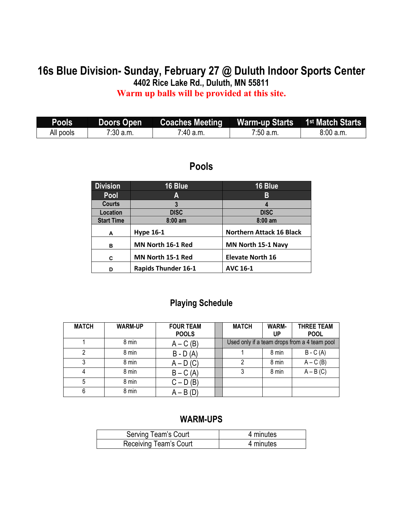## **16s Blue Division- Sunday, February 27 @ Duluth Indoor Sports Center 4402 Rice Lake Rd., Duluth, MN 55811 Warm up balls will be provided at this site.**

### **Pools Doors Open Coaches Meeting Warm-up Starts 1st Match Starts All pools 1 7:30 a.m. 1 1:40 a.m. 1 1:50 a.m. 1 8:00 a.m.** All pools 7:30 a.m. 7:40 a.m. 7:50 a.m. 8:00 a.m.

#### **Pools**

| <b>Division</b>   | 16 Blue           | 16 Blue                         |  |
|-------------------|-------------------|---------------------------------|--|
| Pool              | Α                 | В                               |  |
| <b>Courts</b>     | 3                 |                                 |  |
| Location          | <b>DISC</b>       | <b>DISC</b>                     |  |
| <b>Start Time</b> | $8:00$ am         | $8:00$ am                       |  |
| A                 | <b>Hype 16-1</b>  | <b>Northern Attack 16 Black</b> |  |
| в                 | MN North 16-1 Red | MN North 15-1 Navy              |  |
|                   |                   |                                 |  |
| C                 | MN North 15-1 Red | <b>Elevate North 16</b>         |  |

## **Playing Schedule**

| <b>MATCH</b> | <b>WARM-UP</b> | <b>FOUR TEAM</b><br><b>POOLS</b> | <b>MATCH</b> | <b>WARM-</b><br>UP | <b>THREE TEAM</b><br><b>POOL</b>             |
|--------------|----------------|----------------------------------|--------------|--------------------|----------------------------------------------|
|              | 8 min          | $A - C(B)$                       |              |                    | Used only if a team drops from a 4 team pool |
|              | 8 min          | $B - D(A)$                       |              | 8 min              | $B - C(A)$                                   |
|              | 8 min          | $A - D(C)$                       | 2            | 8 min              | $A - C(B)$                                   |
|              | 8 min          | $B - C(A)$                       | 3            | 8 min              | $A - B(C)$                                   |
| 5            | 8 min          | $C - D(B)$                       |              |                    |                                              |
| 6            | 8 min          | $A - B(D)$                       |              |                    |                                              |

| Serving Team's Court   | 4 minutes |
|------------------------|-----------|
| Receiving Team's Court | 4 minutes |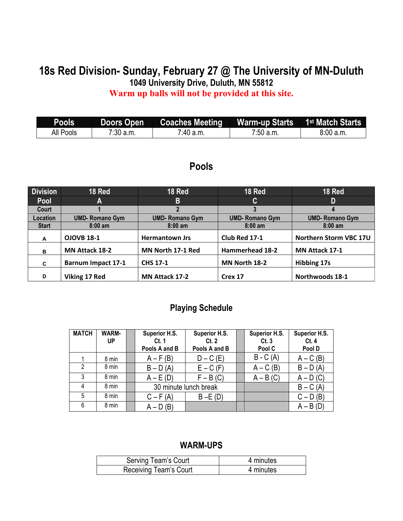## **18s Red Division- Sunday, February 27 @ The University of MN-Duluth 1049 University Drive, Duluth, MN 55812 Warm up balls will not be provided at this site.**

| <b>Pools</b> |             | Doors Open Coaches Meeting Warm-up Starts 1 <sup>st</sup> Match Starts |           |          |
|--------------|-------------|------------------------------------------------------------------------|-----------|----------|
| All Pools    | $7:30$ a.m. | <sup>7:40</sup> a.m.                                                   | 7:50 a.m. | 8:00a.m. |

#### **Pools**

| <b>Division</b> | 18 Red                    | 18 Red                | <b>18 Red</b>         | <b>18 Red</b>          |
|-----------------|---------------------------|-----------------------|-----------------------|------------------------|
| Pool            | A                         | B                     | C.                    | D                      |
| Court           |                           |                       |                       | 4                      |
| Location        | <b>UMD-Romano Gym</b>     | <b>UMD-Romano Gym</b> | <b>UMD-Romano Gym</b> | <b>UMD-Romano Gym</b>  |
| <b>Start</b>    | $8:00$ am                 | $8:00 \text{ am}$     | $8:00$ am             | $8:00 \text{ am}$      |
| A               | <b>OJOVB 18-1</b>         | <b>Hermantown Jrs</b> | Club Red 17-1         | Northern Storm VBC 17U |
| в               | <b>MN Attack 18-2</b>     | MN North 17-1 Red     | Hammerhead 18-2       | <b>MN Attack 17-1</b>  |
| C               | <b>Barnum Impact 17-1</b> | <b>CHS 17-1</b>       | MN North 18-2         | <b>Hibbing 17s</b>     |
| D               | Viking 17 Red             | <b>MN Attack 17-2</b> | Crex 17               | Northwoods 18-1        |

#### **Playing Schedule**

| <b>MATCH</b>  | <b>WARM-</b> | Superior H.S. | Superior H.S.         | Superior H.S. | Superior H.S. |
|---------------|--------------|---------------|-----------------------|---------------|---------------|
|               | UP           | Ct.1          | Ct.2                  | Ct.3          | Ct.4          |
|               |              | Pools A and B | Pools A and B         | Pool C        | Pool D        |
|               | 8 min        | $A - F(B)$    | $D - C$ (E)           | $B - C(A)$    | $A - C(B)$    |
| $\mathcal{P}$ | 8 min        | $B - D(A)$    | $E - C$ (F)           | $A - C(B)$    | $B - D(A)$    |
| 3             | 8 min        | $A - E(D)$    | $F - B(C)$            | $A - B(C)$    | $A - D(C)$    |
| 4             | 8 min        |               | 30 minute lunch break |               | $B - C(A)$    |
| 5             | 8 min        | $C - F(A)$    | $B - E(D)$            |               | $C - D(B)$    |
| 6             | 8 min        | $A - D(B)$    |                       |               | $A - B(D)$    |

| <b>Serving Team's Court</b> | 4 minutes |
|-----------------------------|-----------|
| Receiving Team's Court      | 4 minutes |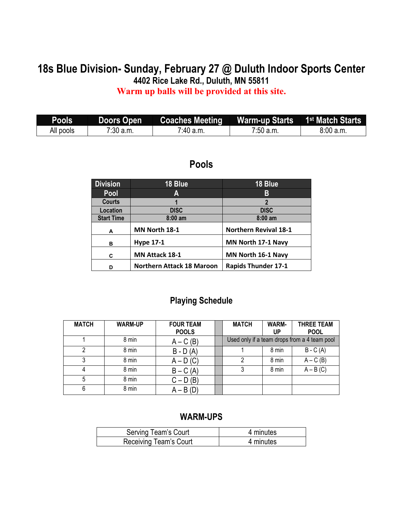#### **18s Blue Division- Sunday, February 27 @ Duluth Indoor Sports Center 4402 Rice Lake Rd., Duluth, MN 55811 Warm up balls will be provided at this site.**

**Pools Doors Open Coaches Meeting Warm-up Starts** 1<sup>st</sup> Match Starts<br>All pools | 7:30 a.m. | 7:40 a.m. | 7:50 a.m. | 8:00 a.m. All pools 7:30 a.m. 7:40 a.m. 7:50 a.m. 8:00 a.m.

#### **Pools**

| <b>Division</b>   | 18 Blue                          | 18 Blue                      |
|-------------------|----------------------------------|------------------------------|
| Pool              | A                                | В                            |
| <b>Courts</b>     |                                  | $\overline{2}$               |
| Location          | <b>DISC</b>                      | <b>DISC</b>                  |
| <b>Start Time</b> | $8:00$ am                        | $8:00$ am                    |
| A                 | MN North 18-1                    | <b>Northern Revival 18-1</b> |
| в                 | <b>Hype 17-1</b>                 | MN North 17-1 Navy           |
| C                 | MN Attack 18-1                   | MN North 16-1 Navy           |
| D                 | <b>Northern Attack 18 Maroon</b> | <b>Rapids Thunder 17-1</b>   |

#### **Playing Schedule**

| <b>MATCH</b> | <b>WARM-UP</b> | <b>FOUR TEAM</b> | <b>MATCH</b> | <b>WARM-</b> | <b>THREE TEAM</b>                            |
|--------------|----------------|------------------|--------------|--------------|----------------------------------------------|
|              |                | <b>POOLS</b>     |              | UP           | <b>POOL</b>                                  |
|              | 8 min          | $A - C(B)$       |              |              | Used only if a team drops from a 4 team pool |
|              | 8 min          | $B - D(A)$       |              | 8 min        | $B - C(A)$                                   |
|              | 8 min          | $A - D(C)$       |              | 8 min        | $A - C(B)$                                   |
|              | 8 min          | $B - C(A)$       |              | 8 min        | $A - B(C)$                                   |
| 5            | 8 min          | $C - D(B)$       |              |              |                                              |
| 6            | 8 min          | $A - B(D)$       |              |              |                                              |

| Serving Team's Court   | 4 minutes |
|------------------------|-----------|
| Receiving Team's Court | 4 minutes |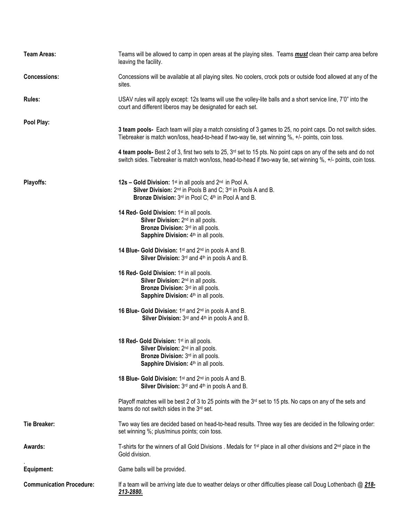| <b>Team Areas:</b>              | Teams will be allowed to camp in open areas at the playing sites. Teams <b>must</b> clean their camp area before<br>leaving the facility.                                                                                           |  |  |
|---------------------------------|-------------------------------------------------------------------------------------------------------------------------------------------------------------------------------------------------------------------------------------|--|--|
| <b>Concessions:</b>             | Concessions will be available at all playing sites. No coolers, crock pots or outside food allowed at any of the<br>sites.                                                                                                          |  |  |
| <b>Rules:</b>                   | USAV rules will apply except: 12s teams will use the volley-lite balls and a short service line, 7'0" into the<br>court and different liberos may be designated for each set.                                                       |  |  |
| Pool Play:                      |                                                                                                                                                                                                                                     |  |  |
|                                 | 3 team pools- Each team will play a match consisting of 3 games to 25, no point caps. Do not switch sides.<br>Tiebreaker is match won/loss, head-to-head if two-way tie, set winning %, +/- points, coin toss.                      |  |  |
|                                 | 4 team pools- Best 2 of 3, first two sets to 25, $3rd$ set to 15 pts. No point caps on any of the sets and do not<br>switch sides. Tiebreaker is match won/loss, head-to-head if two-way tie, set winning %, +/- points, coin toss. |  |  |
| Playoffs:                       | 12s - Gold Division: 1 <sup>st</sup> in all pools and 2 <sup>nd</sup> in Pool A.<br>Silver Division: 2 <sup>nd</sup> in Pools B and C; 3 <sup>rd</sup> in Pools A and B.<br>Bronze Division: 3rd in Pool C; 4th in Pool A and B.    |  |  |
|                                 | 14 Red- Gold Division: 1st in all pools.<br>Silver Division: 2 <sup>nd</sup> in all pools.<br>Bronze Division: 3rd in all pools.<br>Sapphire Division: 4 <sup>th</sup> in all pools.                                                |  |  |
|                                 | 14 Blue- Gold Division: 1 <sup>st</sup> and 2 <sup>nd</sup> in pools A and B.<br>Silver Division: 3rd and 4th in pools A and B.                                                                                                     |  |  |
|                                 | 16 Red- Gold Division: 1 <sup>st</sup> in all pools.<br>Silver Division: 2 <sup>nd</sup> in all pools.<br>Bronze Division: 3rd in all pools.<br>Sapphire Division: 4 <sup>th</sup> in all pools.                                    |  |  |
|                                 | 16 Blue- Gold Division: 1 <sup>st</sup> and 2 <sup>nd</sup> in pools A and B.<br>Silver Division: 3rd and 4th in pools A and B.                                                                                                     |  |  |
|                                 | 18 Red- Gold Division: 1 <sup>st</sup> in all pools.<br>Silver Division: 2 <sup>nd</sup> in all pools.<br>Bronze Division: 3rd in all pools.<br>Sapphire Division: 4 <sup>th</sup> in all pools.                                    |  |  |
|                                 | 18 Blue- Gold Division: 1st and 2nd in pools A and B.<br>Silver Division: $3rd$ and $4th$ in pools A and B.                                                                                                                         |  |  |
|                                 | Playoff matches will be best 2 of 3 to 25 points with the $3rd$ set to 15 pts. No caps on any of the sets and<br>teams do not switch sides in the 3rd set.                                                                          |  |  |
| Tie Breaker:                    | Two way ties are decided based on head-to-head results. Three way ties are decided in the following order:<br>set winning %; plus/minus points; coin toss.                                                                          |  |  |
| Awards:                         | T-shirts for the winners of all Gold Divisions . Medals for 1 <sup>st</sup> place in all other divisions and 2 <sup>nd</sup> place in the<br>Gold division.                                                                         |  |  |
| Equipment:                      | Game balls will be provided.                                                                                                                                                                                                        |  |  |
| <b>Communication Procedure:</b> | If a team will be arriving late due to weather delays or other difficulties please call Doug Lothenbach @ 218-<br>213-2880.                                                                                                         |  |  |